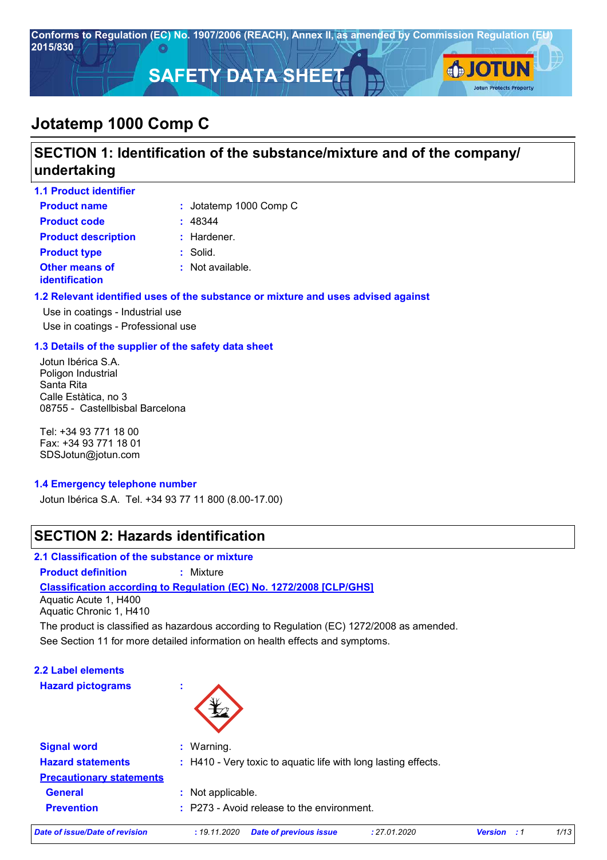

# **SECTION 1: Identification of the substance/mixture and of the company/ undertaking**

| <b>1.1 Product identifier</b>                  |                             |
|------------------------------------------------|-----------------------------|
| <b>Product name</b>                            | : Jotatemp 1000 Comp C      |
| <b>Product code</b>                            | : 48344                     |
| <b>Product description</b>                     | : Hardener.                 |
| <b>Product type</b>                            | $:$ Solid.                  |
| <b>Other means of</b><br><b>identification</b> | $\therefore$ Not available. |

#### **1.2 Relevant identified uses of the substance or mixture and uses advised against**

Use in coatings - Industrial use Use in coatings - Professional use

#### **1.3 Details of the supplier of the safety data sheet**

Jotun Ibérica S.A. Poligon Industrial Santa Rita Calle Estàtica, no 3 08755 - Castellbisbal Barcelona

Tel: +34 93 771 18 00 Fax: +34 93 771 18 01 SDSJotun@jotun.com

#### **1.4 Emergency telephone number**

Jotun Ibérica S.A. Tel. +34 93 77 11 800 (8.00-17.00)

# **SECTION 2: Hazards identification**

#### **2.1 Classification of the substance or mixture**

**Product definition :** Mixture

#### **Classification according to Regulation (EC) No. 1272/2008 [CLP/GHS]**

Aquatic Acute 1, H400 Aquatic Chronic 1, H410

See Section 11 for more detailed information on health effects and symptoms. The product is classified as hazardous according to Regulation (EC) 1272/2008 as amended.

**2.2 Label elements Hazard pictograms :**



| <b>Signal word</b>              | : Warning.                                                     |
|---------------------------------|----------------------------------------------------------------|
| <b>Hazard statements</b>        | : H410 - Very toxic to aquatic life with long lasting effects. |
| <b>Precautionary statements</b> |                                                                |
| <b>General</b>                  | : Not applicable.                                              |
| <b>Prevention</b>               | $\therefore$ P273 - Avoid release to the environment.          |
|                                 |                                                                |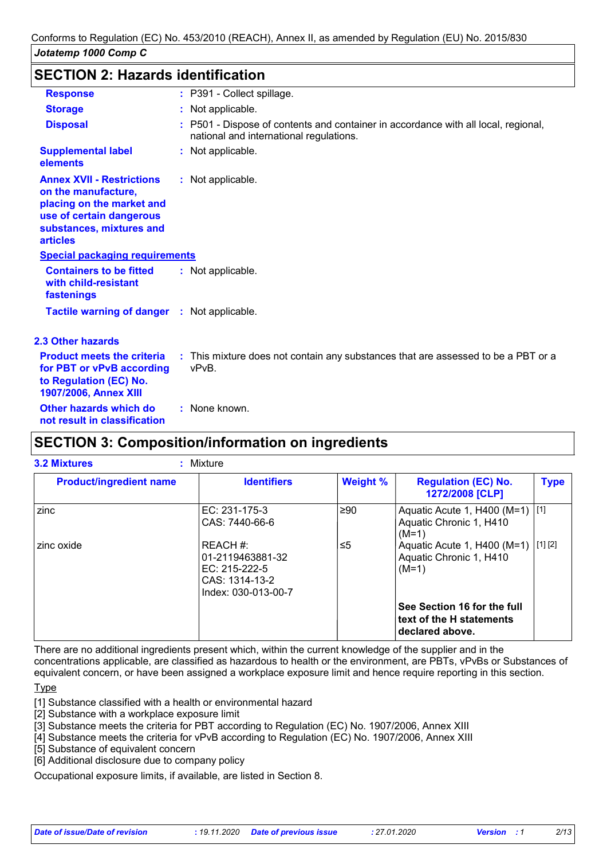### **SECTION 2: Hazards identification**

| <b>Response</b>                                                                                                                                                 | : P391 - Collect spillage.                                                                                                    |
|-----------------------------------------------------------------------------------------------------------------------------------------------------------------|-------------------------------------------------------------------------------------------------------------------------------|
| <b>Storage</b>                                                                                                                                                  | : Not applicable.                                                                                                             |
| <b>Disposal</b>                                                                                                                                                 | : P501 - Dispose of contents and container in accordance with all local, regional,<br>national and international regulations. |
| <b>Supplemental label</b><br>elements                                                                                                                           | : Not applicable.                                                                                                             |
| <b>Annex XVII - Restrictions</b><br>on the manufacture,<br>placing on the market and<br>use of certain dangerous<br>substances, mixtures and<br><b>articles</b> | : Not applicable.                                                                                                             |
| <b>Special packaging requirements</b>                                                                                                                           |                                                                                                                               |
| <b>Containers to be fitted</b><br>with child-resistant<br>fastenings                                                                                            | : Not applicable.                                                                                                             |
| <b>Tactile warning of danger : Not applicable.</b>                                                                                                              |                                                                                                                               |
| <b>2.3 Other hazards</b>                                                                                                                                        |                                                                                                                               |
| <b>Product meets the criteria</b><br>for PBT or vPvB according<br>to Regulation (EC) No.<br>1907/2006, Annex XIII                                               | : This mixture does not contain any substances that are assessed to be a PBT or a<br>vPvB.                                    |
| Other hazards which do<br>not result in classification                                                                                                          | : None known.                                                                                                                 |
| AFATIALI A. A                                                                                                                                                   | من المريح الكامل معدد من المريح المريح الكاتر<br>وللاحد والالماء والمسال المداد                                               |

# **SECTION 3: Composition/information on ingredients**

| <b>Product/ingredient name</b> | <b>Identifiers</b>                                                                     | <b>Weight %</b> | <b>Regulation (EC) No.</b><br>1272/2008 [CLP]                              | <b>Type</b> |
|--------------------------------|----------------------------------------------------------------------------------------|-----------------|----------------------------------------------------------------------------|-------------|
| zinc                           | EC: 231-175-3<br>CAS: 7440-66-6                                                        | ≥90             | Aquatic Acute 1, H400 (M=1) [1]<br>Aquatic Chronic 1, H410<br>$(M=1)$      |             |
| zinc oxide                     | REACH #:<br>01-2119463881-32<br>EC: 215-222-5<br>CAS: 1314-13-2<br>Index: 030-013-00-7 | ≤5              | Aquatic Acute 1, H400 (M=1)<br>Aquatic Chronic 1, H410<br>$(M=1)$          | [1] [2]     |
|                                |                                                                                        |                 | See Section 16 for the full<br>text of the H statements<br>declared above. |             |

There are no additional ingredients present which, within the current knowledge of the supplier and in the concentrations applicable, are classified as hazardous to health or the environment, are PBTs, vPvBs or Substances of equivalent concern, or have been assigned a workplace exposure limit and hence require reporting in this section.

**Type** 

[1] Substance classified with a health or environmental hazard

[2] Substance with a workplace exposure limit

[3] Substance meets the criteria for PBT according to Regulation (EC) No. 1907/2006, Annex XIII

[4] Substance meets the criteria for vPvB according to Regulation (EC) No. 1907/2006, Annex XIII

[5] Substance of equivalent concern

[6] Additional disclosure due to company policy

Occupational exposure limits, if available, are listed in Section 8.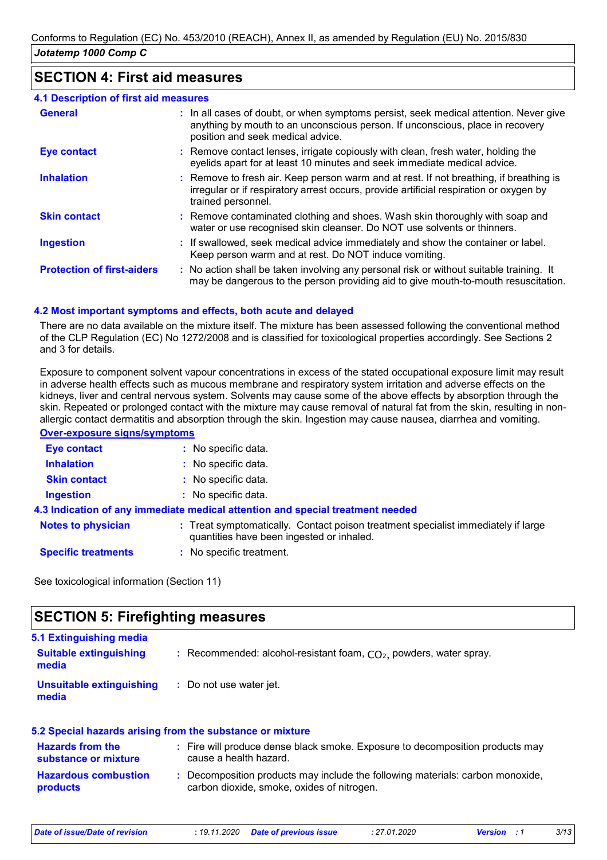### **SECTION 4: First aid measures**

| <b>4.1 Description of first aid measures</b> |                                                                                                                                                                                                             |
|----------------------------------------------|-------------------------------------------------------------------------------------------------------------------------------------------------------------------------------------------------------------|
| <b>General</b>                               | : In all cases of doubt, or when symptoms persist, seek medical attention. Never give<br>anything by mouth to an unconscious person. If unconscious, place in recovery<br>position and seek medical advice. |
| <b>Eye contact</b>                           | : Remove contact lenses, irrigate copiously with clean, fresh water, holding the<br>eyelids apart for at least 10 minutes and seek immediate medical advice.                                                |
| <b>Inhalation</b>                            | : Remove to fresh air. Keep person warm and at rest. If not breathing, if breathing is<br>irregular or if respiratory arrest occurs, provide artificial respiration or oxygen by<br>trained personnel.      |
| <b>Skin contact</b>                          | : Remove contaminated clothing and shoes. Wash skin thoroughly with soap and<br>water or use recognised skin cleanser. Do NOT use solvents or thinners.                                                     |
| <b>Ingestion</b>                             | : If swallowed, seek medical advice immediately and show the container or label.<br>Keep person warm and at rest. Do NOT induce vomiting.                                                                   |
| <b>Protection of first-aiders</b>            | : No action shall be taken involving any personal risk or without suitable training. It<br>may be dangerous to the person providing aid to give mouth-to-mouth resuscitation.                               |

#### **4.2 Most important symptoms and effects, both acute and delayed**

There are no data available on the mixture itself. The mixture has been assessed following the conventional method of the CLP Regulation (EC) No 1272/2008 and is classified for toxicological properties accordingly. See Sections 2 and 3 for details.

Exposure to component solvent vapour concentrations in excess of the stated occupational exposure limit may result in adverse health effects such as mucous membrane and respiratory system irritation and adverse effects on the kidneys, liver and central nervous system. Solvents may cause some of the above effects by absorption through the skin. Repeated or prolonged contact with the mixture may cause removal of natural fat from the skin, resulting in nonallergic contact dermatitis and absorption through the skin. Ingestion may cause nausea, diarrhea and vomiting.

#### **Over-exposure signs/symptoms**

| <b>Eye contact</b>         | : No specific data.                                                                                                            |
|----------------------------|--------------------------------------------------------------------------------------------------------------------------------|
| <b>Inhalation</b>          | : No specific data.                                                                                                            |
| <b>Skin contact</b>        | : No specific data.                                                                                                            |
| <b>Ingestion</b>           | : No specific data.                                                                                                            |
|                            | 4.3 Indication of any immediate medical attention and special treatment needed                                                 |
| <b>Notes to physician</b>  | : Treat symptomatically. Contact poison treatment specialist immediately if large<br>quantities have been ingested or inhaled. |
| <b>Specific treatments</b> | : No specific treatment.                                                                                                       |

See toxicological information (Section 11)

# **SECTION 5: Firefighting measures**

| 5.1 Extinguishing media<br><b>Suitable extinguishing</b><br>media | : Recommended: alcohol-resistant foam, $CO2$ , powders, water spray. |
|-------------------------------------------------------------------|----------------------------------------------------------------------|
| Unsuitable extinguishing<br>media                                 | : Do not use water jet.                                              |

#### **Hazardous combustion products Hazards from the substance or mixture :** Fire will produce dense black smoke. Exposure to decomposition products may **:** Decomposition products may include the following materials: carbon monoxide, **5.2 Special hazards arising from the substance or mixture** cause a health hazard. carbon dioxide, smoke, oxides of nitrogen.

*Date of issue/Date of revision* **:** *19.11.2020 Date of previous issue : 27.01.2020 Version : 1 3/13*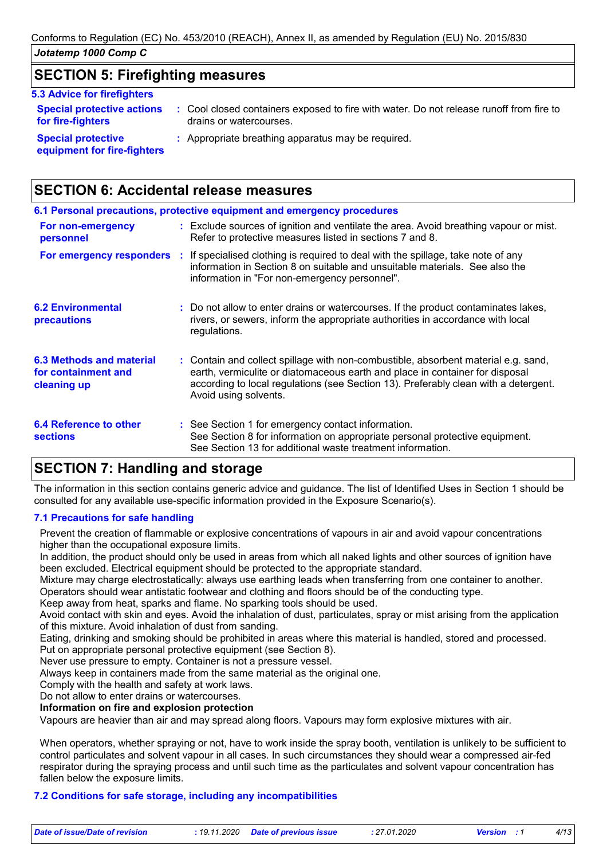### **SECTION 5: Firefighting measures**

|  | <b>5.3 Advice for firefighters</b> |  |
|--|------------------------------------|--|
|--|------------------------------------|--|

**Special protective actions for fire-fighters :** Cool closed containers exposed to fire with water. Do not release runoff from fire to drains or watercourses.

**Special protective equipment for fire-fighters**

- **:** Appropriate breathing apparatus may be required.
- **SECTION 6: Accidental release measures**

|                                                                | 6.1 Personal precautions, protective equipment and emergency procedures                                                                                                                                                                                                            |
|----------------------------------------------------------------|------------------------------------------------------------------------------------------------------------------------------------------------------------------------------------------------------------------------------------------------------------------------------------|
| For non-emergency<br>personnel                                 | : Exclude sources of ignition and ventilate the area. Avoid breathing vapour or mist.<br>Refer to protective measures listed in sections 7 and 8.                                                                                                                                  |
|                                                                | <b>For emergency responders</b> : If specialised clothing is required to deal with the spillage, take note of any<br>information in Section 8 on suitable and unsuitable materials. See also the<br>information in "For non-emergency personnel".                                  |
| <b>6.2 Environmental</b><br>precautions                        | : Do not allow to enter drains or watercourses. If the product contaminates lakes,<br>rivers, or sewers, inform the appropriate authorities in accordance with local<br>regulations.                                                                                               |
| 6.3 Methods and material<br>for containment and<br>cleaning up | : Contain and collect spillage with non-combustible, absorbent material e.g. sand,<br>earth, vermiculite or diatomaceous earth and place in container for disposal<br>according to local regulations (see Section 13). Preferably clean with a detergent.<br>Avoid using solvents. |
| 6.4 Reference to other<br><b>sections</b>                      | : See Section 1 for emergency contact information.<br>See Section 8 for information on appropriate personal protective equipment.<br>See Section 13 for additional waste treatment information.                                                                                    |

# **SECTION 7: Handling and storage**

The information in this section contains generic advice and guidance. The list of Identified Uses in Section 1 should be consulted for any available use-specific information provided in the Exposure Scenario(s).

### **7.1 Precautions for safe handling**

Prevent the creation of flammable or explosive concentrations of vapours in air and avoid vapour concentrations higher than the occupational exposure limits.

In addition, the product should only be used in areas from which all naked lights and other sources of ignition have been excluded. Electrical equipment should be protected to the appropriate standard.

Mixture may charge electrostatically: always use earthing leads when transferring from one container to another. Operators should wear antistatic footwear and clothing and floors should be of the conducting type.

Keep away from heat, sparks and flame. No sparking tools should be used.

Avoid contact with skin and eyes. Avoid the inhalation of dust, particulates, spray or mist arising from the application of this mixture. Avoid inhalation of dust from sanding.

Eating, drinking and smoking should be prohibited in areas where this material is handled, stored and processed. Put on appropriate personal protective equipment (see Section 8).

Never use pressure to empty. Container is not a pressure vessel.

Always keep in containers made from the same material as the original one.

Comply with the health and safety at work laws.

Do not allow to enter drains or watercourses.

#### **Information on fire and explosion protection**

Vapours are heavier than air and may spread along floors. Vapours may form explosive mixtures with air.

When operators, whether spraying or not, have to work inside the spray booth, ventilation is unlikely to be sufficient to control particulates and solvent vapour in all cases. In such circumstances they should wear a compressed air-fed respirator during the spraying process and until such time as the particulates and solvent vapour concentration has fallen below the exposure limits.

#### **7.2 Conditions for safe storage, including any incompatibilities**

| Date of issue/Date of revision | : 19.11.2020 Date of previous issue | : 27.01.2020 | <b>Version</b> : 1 | 4/13 |
|--------------------------------|-------------------------------------|--------------|--------------------|------|
|                                |                                     |              |                    |      |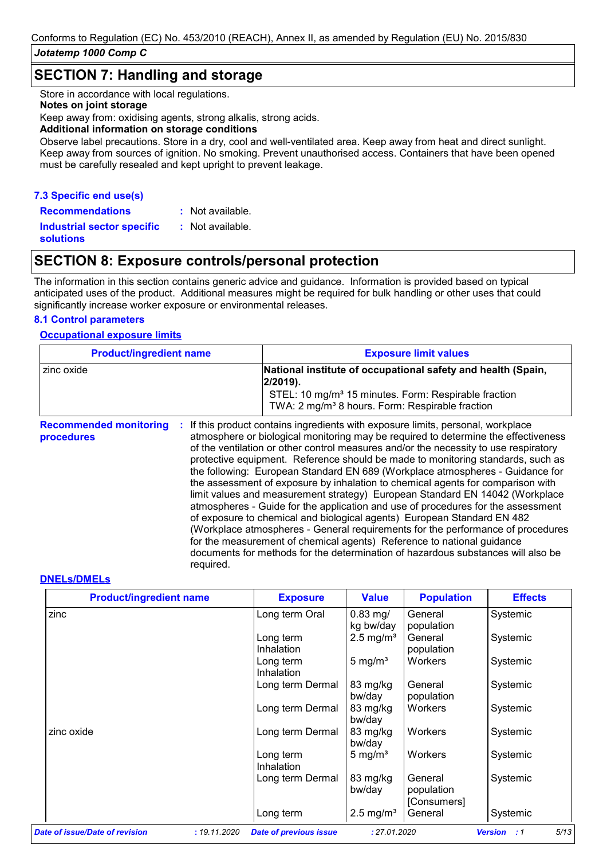### **SECTION 7: Handling and storage**

Store in accordance with local regulations.

#### **Notes on joint storage**

Keep away from: oxidising agents, strong alkalis, strong acids.

#### **Additional information on storage conditions**

Observe label precautions. Store in a dry, cool and well-ventilated area. Keep away from heat and direct sunlight. Keep away from sources of ignition. No smoking. Prevent unauthorised access. Containers that have been opened must be carefully resealed and kept upright to prevent leakage.

#### **7.3 Specific end use(s)**

**Recommendations :**

: Not available. : Not available.

**Industrial sector specific : solutions**

### **SECTION 8: Exposure controls/personal protection**

The information in this section contains generic advice and guidance. Information is provided based on typical anticipated uses of the product. Additional measures might be required for bulk handling or other uses that could significantly increase worker exposure or environmental releases.

#### **8.1 Control parameters**

#### **Occupational exposure limits**

| <b>Product/ingredient name</b>              |           | <b>Exposure limit values</b>                                                                                                                                                                                                                                                                                                                                                                                                                                                                                                                                                                                                                                                                                                                                                                                                                                                                                                                                                                                        |
|---------------------------------------------|-----------|---------------------------------------------------------------------------------------------------------------------------------------------------------------------------------------------------------------------------------------------------------------------------------------------------------------------------------------------------------------------------------------------------------------------------------------------------------------------------------------------------------------------------------------------------------------------------------------------------------------------------------------------------------------------------------------------------------------------------------------------------------------------------------------------------------------------------------------------------------------------------------------------------------------------------------------------------------------------------------------------------------------------|
| zinc oxide                                  |           | National institute of occupational safety and health (Spain,<br>2/2019).<br>STEL: 10 mg/m <sup>3</sup> 15 minutes. Form: Respirable fraction<br>TWA: 2 mg/m <sup>3</sup> 8 hours. Form: Respirable fraction                                                                                                                                                                                                                                                                                                                                                                                                                                                                                                                                                                                                                                                                                                                                                                                                         |
| <b>Recommended monitoring</b><br>procedures | required. | If this product contains ingredients with exposure limits, personal, workplace<br>atmosphere or biological monitoring may be required to determine the effectiveness<br>of the ventilation or other control measures and/or the necessity to use respiratory<br>protective equipment. Reference should be made to monitoring standards, such as<br>the following: European Standard EN 689 (Workplace atmospheres - Guidance for<br>the assessment of exposure by inhalation to chemical agents for comparison with<br>limit values and measurement strategy) European Standard EN 14042 (Workplace<br>atmospheres - Guide for the application and use of procedures for the assessment<br>of exposure to chemical and biological agents) European Standard EN 482<br>(Workplace atmospheres - General requirements for the performance of procedures<br>for the measurement of chemical agents) Reference to national guidance<br>documents for methods for the determination of hazardous substances will also be |

#### **DNELs/DMELs**

| <b>Product/ingredient name</b> |              | <b>Exposure</b>               | <b>Value</b>            | <b>Population</b>                    | <b>Effects</b>               |
|--------------------------------|--------------|-------------------------------|-------------------------|--------------------------------------|------------------------------|
| zinc                           |              | Long term Oral                | $0.83$ mg/<br>kg bw/day | General<br>population                | Systemic                     |
|                                |              | Long term<br>Inhalation       | $2.5 \text{ mg/m}^3$    | General<br>population                | Systemic                     |
|                                |              | Long term<br>Inhalation       | 5 mg/ $m3$              | Workers                              | Systemic                     |
|                                |              | Long term Dermal              | 83 mg/kg<br>bw/day      | General<br>population                | Systemic                     |
|                                |              | Long term Dermal              | 83 mg/kg<br>bw/day      | Workers                              | Systemic                     |
| zinc oxide                     |              | Long term Dermal              | 83 mg/kg<br>bw/day      | Workers                              | Systemic                     |
|                                |              | Long term<br>Inhalation       | 5 mg/ $m3$              | Workers                              | Systemic                     |
|                                |              | Long term Dermal              | 83 mg/kg<br>bw/day      | General<br>population<br>[Consumers] | Systemic                     |
|                                |              | Long term                     | $2.5 \text{ mg/m}^3$    | General                              | Systemic                     |
| Date of issue/Date of revision | : 19.11.2020 | <b>Date of previous issue</b> | : 27.01.2020            |                                      | 5/13<br><b>Version</b><br>:1 |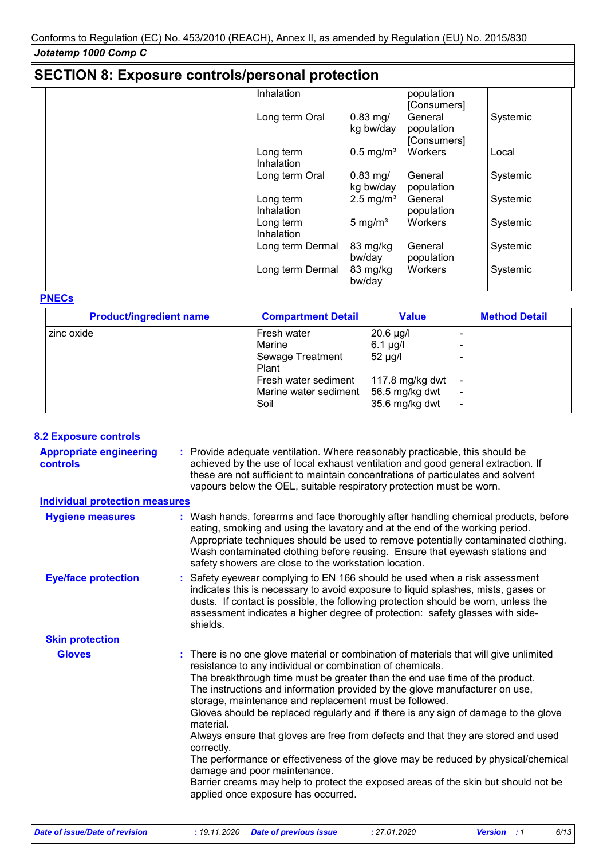| <b>SECTION 8: Exposure controls/personal protection</b> |                         |                         |                                      |          |  |
|---------------------------------------------------------|-------------------------|-------------------------|--------------------------------------|----------|--|
|                                                         | Inhalation              |                         | population<br>[Consumers]            |          |  |
|                                                         | Long term Oral          | $0.83$ mg/<br>kg bw/day | General<br>population<br>[Consumers] | Systemic |  |
|                                                         | Long term<br>Inhalation | $0.5 \text{ mg/m}^3$    | Workers                              | Local    |  |
|                                                         | Long term Oral          | $0.83$ mg/<br>kg bw/day | General<br>population                | Systemic |  |
|                                                         | Long term<br>Inhalation | $2.5 \text{ mg/m}^3$    | General<br>population                | Systemic |  |
|                                                         | Long term<br>Inhalation | 5 mg/ $m3$              | Workers                              | Systemic |  |
|                                                         | Long term Dermal        | 83 mg/kg<br>bw/day      | General<br>population                | Systemic |  |
|                                                         | Long term Dermal        | 83 mg/kg<br>bw/day      | Workers                              | Systemic |  |

#### **PNECs**

| <b>Product/ingredient name</b> | <b>Compartment Detail</b> | <b>Value</b>        | <b>Method Detail</b> |
|--------------------------------|---------------------------|---------------------|----------------------|
| zinc oxide                     | Fresh water               | $ 20.6 \text{ µg} $ |                      |
|                                | Marine                    | $6.1 \mu g/l$       |                      |
|                                | Sewage Treatment          | $52 \mu g/l$        |                      |
|                                | Plant                     |                     |                      |
|                                | Fresh water sediment      | $117.8$ mg/kg dwt   |                      |
|                                | Marine water sediment     | 56.5 mg/kg dwt      |                      |
|                                | Soil                      | $35.6$ mg/kg dwt    |                      |

#### **8.2 Exposure controls**

Provide adequate ventilation. Where reasonably practicable, this should be **:** achieved by the use of local exhaust ventilation and good general extraction. If these are not sufficient to maintain concentrations of particulates and solvent vapours below the OEL, suitable respiratory protection must be worn. **Appropriate engineering controls**

# **Individual protection measures**

| <b>Hygiene measures</b>    | : Wash hands, forearms and face thoroughly after handling chemical products, before<br>eating, smoking and using the lavatory and at the end of the working period.<br>Appropriate techniques should be used to remove potentially contaminated clothing.<br>Wash contaminated clothing before reusing. Ensure that eyewash stations and<br>safety showers are close to the workstation location.                                                                                                                                                                                                                                                                                                                                                                                                                                   |
|----------------------------|-------------------------------------------------------------------------------------------------------------------------------------------------------------------------------------------------------------------------------------------------------------------------------------------------------------------------------------------------------------------------------------------------------------------------------------------------------------------------------------------------------------------------------------------------------------------------------------------------------------------------------------------------------------------------------------------------------------------------------------------------------------------------------------------------------------------------------------|
| <b>Eye/face protection</b> | : Safety eyewear complying to EN 166 should be used when a risk assessment<br>indicates this is necessary to avoid exposure to liquid splashes, mists, gases or<br>dusts. If contact is possible, the following protection should be worn, unless the<br>assessment indicates a higher degree of protection: safety glasses with side-<br>shields.                                                                                                                                                                                                                                                                                                                                                                                                                                                                                  |
| <b>Skin protection</b>     |                                                                                                                                                                                                                                                                                                                                                                                                                                                                                                                                                                                                                                                                                                                                                                                                                                     |
| <b>Gloves</b>              | : There is no one glove material or combination of materials that will give unlimited<br>resistance to any individual or combination of chemicals.<br>The breakthrough time must be greater than the end use time of the product.<br>The instructions and information provided by the glove manufacturer on use,<br>storage, maintenance and replacement must be followed.<br>Gloves should be replaced regularly and if there is any sign of damage to the glove<br>material.<br>Always ensure that gloves are free from defects and that they are stored and used<br>correctly.<br>The performance or effectiveness of the glove may be reduced by physical/chemical<br>damage and poor maintenance.<br>Barrier creams may help to protect the exposed areas of the skin but should not be<br>applied once exposure has occurred. |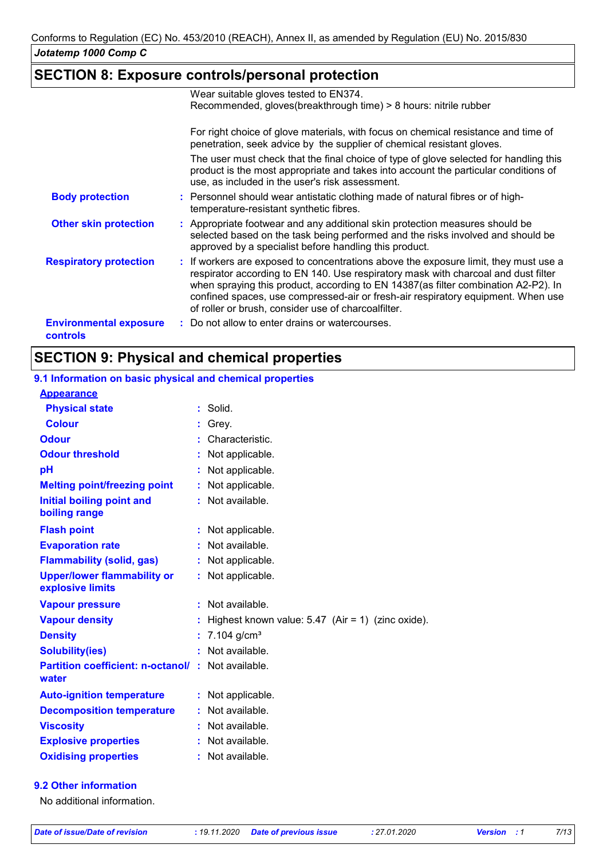# **SECTION 8: Exposure controls/personal protection**

|                                           | Wear suitable gloves tested to EN374.                                                                                                                                                                                                                                                                                                                                                                       |
|-------------------------------------------|-------------------------------------------------------------------------------------------------------------------------------------------------------------------------------------------------------------------------------------------------------------------------------------------------------------------------------------------------------------------------------------------------------------|
|                                           | Recommended, gloves(breakthrough time) > 8 hours: nitrile rubber                                                                                                                                                                                                                                                                                                                                            |
|                                           | For right choice of glove materials, with focus on chemical resistance and time of<br>penetration, seek advice by the supplier of chemical resistant gloves.                                                                                                                                                                                                                                                |
|                                           | The user must check that the final choice of type of glove selected for handling this<br>product is the most appropriate and takes into account the particular conditions of<br>use, as included in the user's risk assessment.                                                                                                                                                                             |
| <b>Body protection</b>                    | : Personnel should wear antistatic clothing made of natural fibres or of high-<br>temperature-resistant synthetic fibres.                                                                                                                                                                                                                                                                                   |
| <b>Other skin protection</b>              | : Appropriate footwear and any additional skin protection measures should be<br>selected based on the task being performed and the risks involved and should be<br>approved by a specialist before handling this product.                                                                                                                                                                                   |
| <b>Respiratory protection</b>             | : If workers are exposed to concentrations above the exposure limit, they must use a<br>respirator according to EN 140. Use respiratory mask with charcoal and dust filter<br>when spraying this product, according to EN 14387(as filter combination A2-P2). In<br>confined spaces, use compressed-air or fresh-air respiratory equipment. When use<br>of roller or brush, consider use of charcoalfilter. |
| <b>Environmental exposure</b><br>controls | : Do not allow to enter drains or watercourses.                                                                                                                                                                                                                                                                                                                                                             |

# **SECTION 9: Physical and chemical properties**

#### Not available. **: Physical state Melting point/freezing point Initial boiling point and boiling range Vapour pressure Density Vapour density Solubility(ies)** Solid. **:** Not applicable. **:** 7.104 g/cm³ **: :** Highest known value: 5.47 (Air = 1) (zinc oxide). Not available. **:** : Not available. **Odour** Characteristic. **pH**  $\begin{array}{ccc} \textbf{Colour} & : & \textbf{Grey}. \end{array}$ **Evaporation rate Auto-ignition temperature Flash point** Not applicable. **:** Not applicable. **:** Not applicable. **:** : Not available. **Partition coefficient: n-octanol/ :** Not available. **:** Not applicable. **Viscosity Not available. Not available. Odour threshold water Upper/lower flammability or explosive limits Explosive properties :** Not applicable. : Not available. **Oxidising properties :** Not available. **9.1 Information on basic physical and chemical properties Appearance Decomposition temperature :** Not available. **Flammability (solid, gas) :** : Not applicable.

#### **9.2 Other information**

No additional information.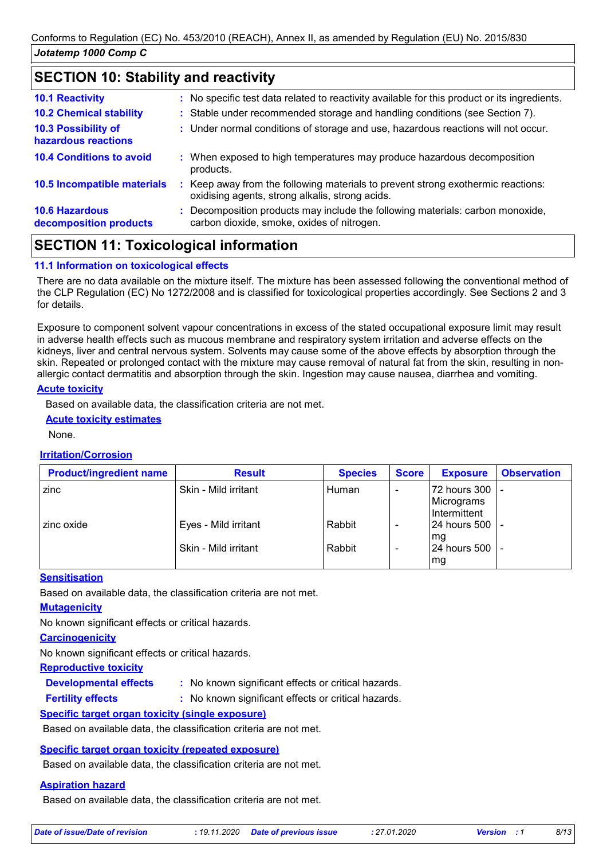# **SECTION 10: Stability and reactivity**

| <b>10.1 Reactivity</b>                          | : No specific test data related to reactivity available for this product or its ingredients.                                        |
|-------------------------------------------------|-------------------------------------------------------------------------------------------------------------------------------------|
| <b>10.2 Chemical stability</b>                  | : Stable under recommended storage and handling conditions (see Section 7).                                                         |
| 10.3 Possibility of<br>hazardous reactions      | : Under normal conditions of storage and use, hazardous reactions will not occur.                                                   |
| <b>10.4 Conditions to avoid</b>                 | : When exposed to high temperatures may produce hazardous decomposition<br>products.                                                |
| 10.5 Incompatible materials                     | : Keep away from the following materials to prevent strong exothermic reactions:<br>oxidising agents, strong alkalis, strong acids. |
| <b>10.6 Hazardous</b><br>decomposition products | : Decomposition products may include the following materials: carbon monoxide,<br>carbon dioxide, smoke, oxides of nitrogen.        |
|                                                 |                                                                                                                                     |

# **SECTION 11: Toxicological information**

#### **11.1 Information on toxicological effects**

There are no data available on the mixture itself. The mixture has been assessed following the conventional method of the CLP Regulation (EC) No 1272/2008 and is classified for toxicological properties accordingly. See Sections 2 and 3 for details.

Exposure to component solvent vapour concentrations in excess of the stated occupational exposure limit may result in adverse health effects such as mucous membrane and respiratory system irritation and adverse effects on the kidneys, liver and central nervous system. Solvents may cause some of the above effects by absorption through the skin. Repeated or prolonged contact with the mixture may cause removal of natural fat from the skin, resulting in nonallergic contact dermatitis and absorption through the skin. Ingestion may cause nausea, diarrhea and vomiting.

#### **Acute toxicity**

Based on available data, the classification criteria are not met.

#### **Acute toxicity estimates**

None.

#### **Irritation/Corrosion**

| <b>Product/ingredient name</b> | <b>Result</b>        | <b>Species</b> | <b>Score</b> | <b>Exposure</b>                            | <b>Observation</b> |
|--------------------------------|----------------------|----------------|--------------|--------------------------------------------|--------------------|
| zinc                           | Skin - Mild irritant | Human          |              | 72 hours 300<br>Micrograms<br>Intermittent |                    |
| I zinc oxide                   | Eyes - Mild irritant | Rabbit         |              | 24 hours 500<br>mg                         |                    |
|                                | Skin - Mild irritant | Rabbit         |              | 24 hours 500<br>mg                         |                    |

#### **Sensitisation**

Based on available data, the classification criteria are not met.

#### **Mutagenicity**

No known significant effects or critical hazards.

### **Carcinogenicity**

**Fertility effects :**

No known significant effects or critical hazards.

#### **Reproductive toxicity**

**Developmental effects :**

: No known significant effects or critical hazards.

: No known significant effects or critical hazards.

#### **Specific target organ toxicity (single exposure)**

Based on available data, the classification criteria are not met.

#### **Specific target organ toxicity (repeated exposure)**

Based on available data, the classification criteria are not met.

#### **Aspiration hazard**

Based on available data, the classification criteria are not met.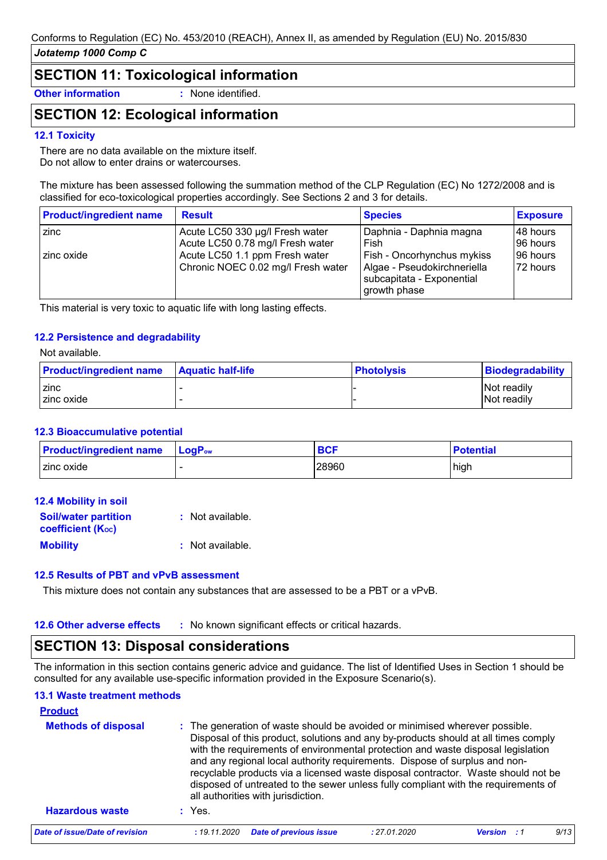### **SECTION 11: Toxicological information**

**Other information :** None identified.

# **SECTION 12: Ecological information**

#### **12.1 Toxicity**

There are no data available on the mixture itself. Do not allow to enter drains or watercourses.

The mixture has been assessed following the summation method of the CLP Regulation (EC) No 1272/2008 and is classified for eco-toxicological properties accordingly. See Sections 2 and 3 for details.

| <b>Product/ingredient name</b> | <b>Result</b>                                                        | <b>Species</b>                                                                                         | <b>Exposure</b>        |
|--------------------------------|----------------------------------------------------------------------|--------------------------------------------------------------------------------------------------------|------------------------|
| zinc                           | Acute LC50 330 µg/l Fresh water<br>Acute LC50 0.78 mg/l Fresh water  | Daphnia - Daphnia magna<br>Fish                                                                        | I48 hours<br>196 hours |
| l zinc oxide                   | Acute LC50 1.1 ppm Fresh water<br>Chronic NOEC 0.02 mg/l Fresh water | Fish - Oncorhynchus mykiss<br>Algae - Pseudokirchneriella<br>subcapitata - Exponential<br>growth phase | 96 hours<br>72 hours   |

This material is very toxic to aquatic life with long lasting effects.

#### **12.2 Persistence and degradability**

#### Not available.

| <b>Product/ingredient name</b> | <b>Aquatic half-life</b> | <b>Photolysis</b> | Biodegradability |
|--------------------------------|--------------------------|-------------------|------------------|
| zinc                           |                          |                   | Not readily      |
| zinc oxide                     |                          |                   | Not readily      |

#### **12.3 Bioaccumulative potential**

| <b>Product/ingredient name LogPow</b> | <b>BCF</b> | <b>Potential</b> |
|---------------------------------------|------------|------------------|
| I zinc oxide                          | 28960      | high             |

| 12.4 Mobility in soil                                   |                  |
|---------------------------------------------------------|------------------|
| <b>Soil/water partition</b><br><b>coefficient (Koc)</b> | : Not available. |
| <b>Mobility</b>                                         | : Not available. |
|                                                         |                  |

#### **12.5 Results of PBT and vPvB assessment**

This mixture does not contain any substances that are assessed to be a PBT or a vPvB.

#### **12.6 Other adverse effects** : No known significant effects or critical hazards.

# **SECTION 13: Disposal considerations**

The information in this section contains generic advice and guidance. The list of Identified Uses in Section 1 should be consulted for any available use-specific information provided in the Exposure Scenario(s).

#### **13.1 Waste treatment methods**

| <b>Product</b><br><b>Methods of disposal</b> |              | : The generation of waste should be avoided or minimised wherever possible.<br>Disposal of this product, solutions and any by-products should at all times comply<br>with the requirements of environmental protection and waste disposal legislation                                       |              |         |      |
|----------------------------------------------|--------------|---------------------------------------------------------------------------------------------------------------------------------------------------------------------------------------------------------------------------------------------------------------------------------------------|--------------|---------|------|
| <b>Hazardous waste</b>                       | $:$ Yes.     | and any regional local authority requirements. Dispose of surplus and non-<br>recyclable products via a licensed waste disposal contractor. Waste should not be<br>disposed of untreated to the sewer unless fully compliant with the requirements of<br>all authorities with jurisdiction. |              |         |      |
| Date of issue/Date of revision               | : 19.11.2020 | <b>Date of previous issue</b>                                                                                                                                                                                                                                                               | : 27.01.2020 | Version | 9/13 |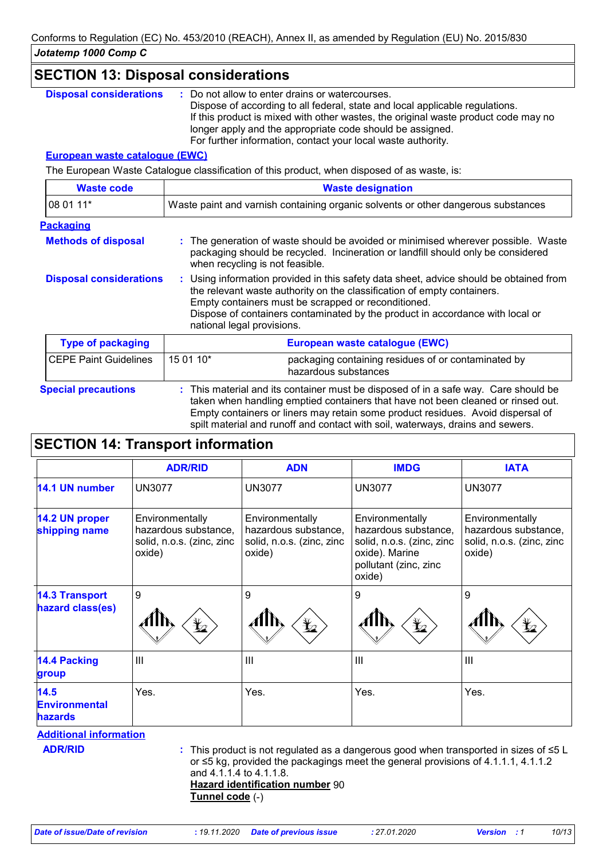| <b>SECTION 13: Disposal considerations</b> |                                 |                                                                                                                                                                                                                                                                                                                                                    |
|--------------------------------------------|---------------------------------|----------------------------------------------------------------------------------------------------------------------------------------------------------------------------------------------------------------------------------------------------------------------------------------------------------------------------------------------------|
| <b>Disposal considerations</b>             |                                 | : Do not allow to enter drains or watercourses.<br>Dispose of according to all federal, state and local applicable regulations.<br>If this product is mixed with other wastes, the original waste product code may no<br>longer apply and the appropriate code should be assigned.<br>For further information, contact your local waste authority. |
| <b>European waste catalogue (EWC)</b>      |                                 |                                                                                                                                                                                                                                                                                                                                                    |
|                                            |                                 | The European Waste Catalogue classification of this product, when disposed of as waste, is:                                                                                                                                                                                                                                                        |
| <b>Waste code</b>                          |                                 | <b>Waste designation</b>                                                                                                                                                                                                                                                                                                                           |
| 08 01 11*                                  |                                 | Waste paint and varnish containing organic solvents or other dangerous substances                                                                                                                                                                                                                                                                  |
| <b>Packaging</b>                           |                                 |                                                                                                                                                                                                                                                                                                                                                    |
| <b>Methods of disposal</b>                 | when recycling is not feasible. | : The generation of waste should be avoided or minimised wherever possible. Waste<br>packaging should be recycled. Incineration or landfill should only be considered                                                                                                                                                                              |
| <b>Disposal considerations</b>             | national legal provisions.      | : Using information provided in this safety data sheet, advice should be obtained from<br>the relevant waste authority on the classification of empty containers.<br>Empty containers must be scrapped or reconditioned.<br>Dispose of containers contaminated by the product in accordance with local or                                          |
| <b>Type of packaging</b>                   |                                 | European waste catalogue (EWC)                                                                                                                                                                                                                                                                                                                     |
| <b>CEPE Paint Guidelines</b>               | 15 01 10*                       | packaging containing residues of or contaminated by<br>hazardous substances                                                                                                                                                                                                                                                                        |

**Special precautions :** This material and its container must be disposed of in a safe way. Care should be taken when handling emptied containers that have not been cleaned or rinsed out. Empty containers or liners may retain some product residues. Avoid dispersal of spilt material and runoff and contact with soil, waterways, drains and sewers.

# **SECTION 14: Transport information**

|                                                | <b>ADR/RID</b>                                                                 | <b>ADN</b>                                                                                                                                                                                                                 | <b>IMDG</b>                                                                                                               | <b>IATA</b>                                                                    |
|------------------------------------------------|--------------------------------------------------------------------------------|----------------------------------------------------------------------------------------------------------------------------------------------------------------------------------------------------------------------------|---------------------------------------------------------------------------------------------------------------------------|--------------------------------------------------------------------------------|
| 14.1 UN number                                 | <b>UN3077</b>                                                                  | <b>UN3077</b>                                                                                                                                                                                                              | <b>UN3077</b>                                                                                                             | <b>UN3077</b>                                                                  |
| 14.2 UN proper<br>shipping name                | Environmentally<br>hazardous substance,<br>solid, n.o.s. (zinc, zinc<br>oxide) | Environmentally<br>hazardous substance,<br>solid, n.o.s. (zinc, zinc<br>oxide)                                                                                                                                             | Environmentally<br>hazardous substance,<br>solid, n.o.s. (zinc, zinc<br>oxide). Marine<br>pollutant (zinc, zinc<br>oxide) | Environmentally<br>hazardous substance,<br>solid, n.o.s. (zinc, zinc<br>oxide) |
| <b>14.3 Transport</b><br>hazard class(es)      | 9<br>¥⊿                                                                        | 9<br>$\bigstar$                                                                                                                                                                                                            | 9<br>q                                                                                                                    | 9                                                                              |
| <b>14.4 Packing</b><br>group                   | $\mathbf{III}$                                                                 | III                                                                                                                                                                                                                        | $\mathbf{III}$                                                                                                            | $\mathbf{III}$                                                                 |
| 14.5<br><b>Environmental</b><br><b>hazards</b> | Yes.                                                                           | Yes.                                                                                                                                                                                                                       | Yes.                                                                                                                      | Yes.                                                                           |
| <b>Additional information</b>                  |                                                                                |                                                                                                                                                                                                                            |                                                                                                                           |                                                                                |
| <b>ADR/RID</b>                                 | and 4.1.1.4 to 4.1.1.8.<br>Tunnel code (-)                                     | : This product is not regulated as a dangerous good when transported in sizes of $\leq 5$ L<br>or ≤5 kg, provided the packagings meet the general provisions of 4.1.1.1, 4.1.1.2<br><b>Hazard identification number 90</b> |                                                                                                                           |                                                                                |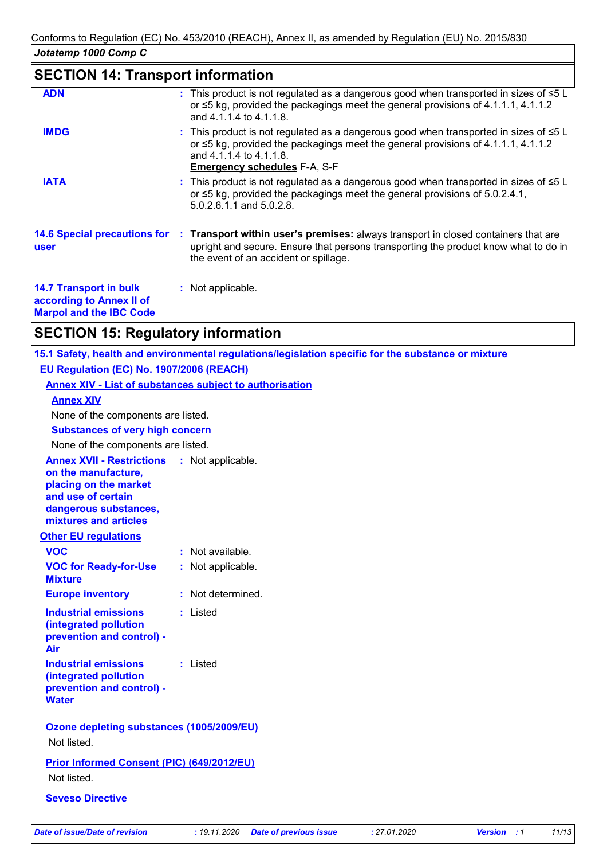# **SECTION 14: Transport information**

| <b>ADN</b>                                                | : This product is not regulated as a dangerous good when transported in sizes of $\leq 5$ L<br>or $\leq$ 5 kg, provided the packagings meet the general provisions of 4.1.1.1, 4.1.1.2<br>and 4.1.1.4 to 4.1.1.8.                                        |
|-----------------------------------------------------------|----------------------------------------------------------------------------------------------------------------------------------------------------------------------------------------------------------------------------------------------------------|
| <b>IMDG</b>                                               | : This product is not regulated as a dangerous good when transported in sizes of $\leq 5$ L<br>or $\leq$ 5 kg, provided the packagings meet the general provisions of 4.1.1.1, 4.1.1.2<br>and 4.1.1.4 to 4.1.1.8.<br><b>Emergency schedules F-A, S-F</b> |
| <b>IATA</b>                                               | : This product is not regulated as a dangerous good when transported in sizes of $\leq 5$ L<br>or $\leq$ 5 kg, provided the packagings meet the general provisions of 5.0.2.4.1,<br>5.0.2.6.1.1 and 5.0.2.8.                                             |
| user                                                      | 14.6 Special precautions for : Transport within user's premises: always transport in closed containers that are<br>upright and secure. Ensure that persons transporting the product know what to do in<br>the event of an accident or spillage.          |
| <b>14.7 Transport in bulk</b><br>according to Annex II of | : Not applicable.                                                                                                                                                                                                                                        |

**Marpol and the IBC Code**

# **SECTION 15: Regulatory information**

**15.1 Safety, health and environmental regulations/legislation specific for the substance or mixture EU Regulation (EC) No. 1907/2006 (REACH)**

**Annex XIV - List of substances subject to authorisation**

# **Annex XIV Substances of very high concern** None of the components are listed. None of the components are listed.

**Other EU regulations Annex XVII - Restrictions on the manufacture, placing on the market and use of certain dangerous substances, mixtures and articles** : Not applicable. **VOC :** Not available.

| <b>vuu</b>                                                                                  | : inot available. |
|---------------------------------------------------------------------------------------------|-------------------|
| <b>VOC for Ready-for-Use</b><br><b>Mixture</b>                                              | : Not applicable. |
| <b>Europe inventory</b>                                                                     | : Not determined. |
| <b>Industrial emissions</b><br>(integrated pollution<br>prevention and control) -<br>Air    | : Listed          |
| Industrial emissions<br>(integrated pollution)<br>prevention and control) -<br><b>Water</b> | : Listed          |

#### **Ozone depleting substances (1005/2009/EU)** Not listed.

### **Prior Informed Consent (PIC) (649/2012/EU)** Not listed.

### **Seveso Directive**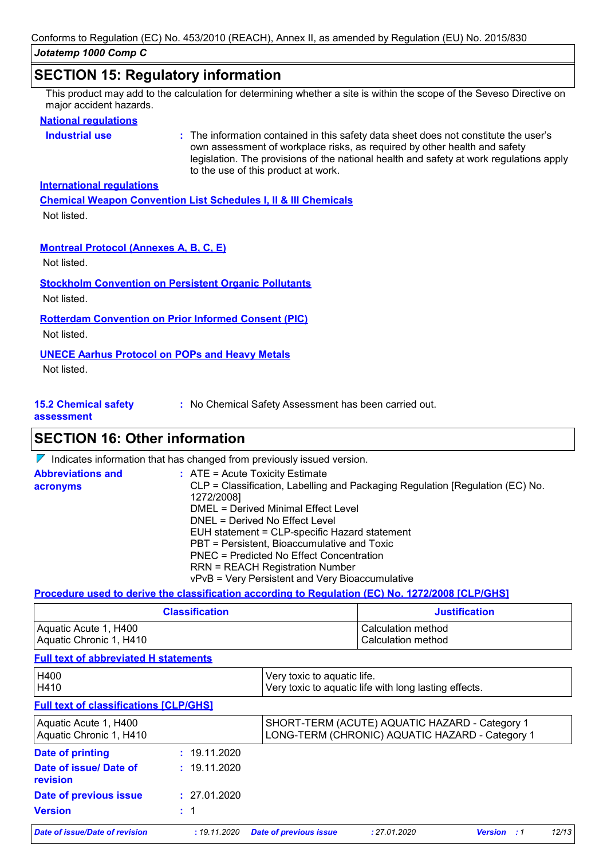### **SECTION 15: Regulatory information**

This product may add to the calculation for determining whether a site is within the scope of the Seveso Directive on major accident hazards.

#### **National regulations**

**Industrial use <b>:** The information contained in this safety data sheet does not constitute the user's own assessment of workplace risks, as required by other health and safety legislation. The provisions of the national health and safety at work regulations apply to the use of this product at work.

#### **International regulations**

**Chemical Weapon Convention List Schedules I, II & III Chemicals** Not listed.

#### **Montreal Protocol (Annexes A, B, C, E)**

Not listed.

**Stockholm Convention on Persistent Organic Pollutants**

Not listed.

#### **Rotterdam Convention on Prior Informed Consent (PIC)**

Not listed.

### **UNECE Aarhus Protocol on POPs and Heavy Metals**

Not listed.

**15.2 Chemical safety** 

**:** No Chemical Safety Assessment has been carried out.

#### **assessment**

**SECTION 16: Other information**

 $\nabla$  Indicates information that has changed from previously issued version.

| <b>Abbreviations and</b> | $\therefore$ ATE = Acute Toxicity Estimate                                    |
|--------------------------|-------------------------------------------------------------------------------|
| acronyms                 | CLP = Classification, Labelling and Packaging Regulation [Regulation (EC) No. |
|                          | 1272/2008]                                                                    |
|                          | <b>DMEL = Derived Minimal Effect Level</b>                                    |
|                          | DNEL = Derived No Effect Level                                                |
|                          | EUH statement = CLP-specific Hazard statement                                 |
|                          | PBT = Persistent, Bioaccumulative and Toxic                                   |
|                          | PNEC = Predicted No Effect Concentration                                      |
|                          | <b>RRN = REACH Registration Number</b>                                        |
|                          | vPvB = Very Persistent and Very Bioaccumulative                               |

#### **Procedure used to derive the classification according to Regulation (EC) No. 1272/2008 [CLP/GHS]**

| <b>Classification</b>   | <b>Justification</b> |  |
|-------------------------|----------------------|--|
| Aquatic Acute 1, H400   | l Calculation method |  |
| Aquatic Chronic 1, H410 | Calculation method   |  |

#### **Full text of abbreviated H statements**

| H400<br>H410                                     |              | Very toxic to aquatic life.<br>Very toxic to aquatic life with long lasting effects.              |              |                    |       |  |
|--------------------------------------------------|--------------|---------------------------------------------------------------------------------------------------|--------------|--------------------|-------|--|
| <b>Full text of classifications [CLP/GHS]</b>    |              |                                                                                                   |              |                    |       |  |
| Aquatic Acute 1, H400<br>Aquatic Chronic 1, H410 |              | SHORT-TERM (ACUTE) AQUATIC HAZARD - Category 1<br>LONG-TERM (CHRONIC) AQUATIC HAZARD - Category 1 |              |                    |       |  |
| Date of printing                                 | : 19.11.2020 |                                                                                                   |              |                    |       |  |
| Date of issue/ Date of<br>revision               | : 19.11.2020 |                                                                                                   |              |                    |       |  |
| Date of previous issue                           | : 27.01.2020 |                                                                                                   |              |                    |       |  |
| <b>Version</b>                                   | : 1          |                                                                                                   |              |                    |       |  |
| Date of issue/Date of revision                   | : 19.11.2020 | <b>Date of previous issue</b>                                                                     | : 27.01.2020 | <b>Version</b> : 1 | 12/13 |  |